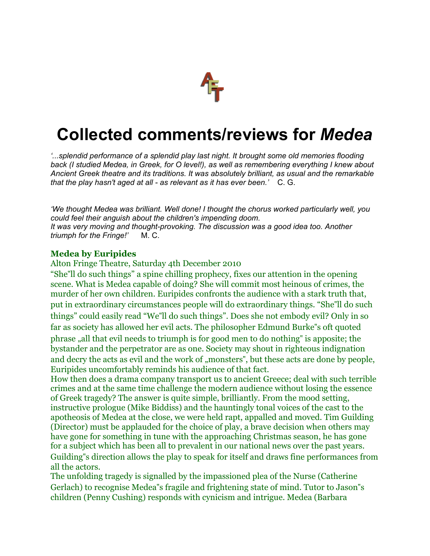

## **Collected comments/reviews for** *Medea*

*'...splendid performance of a splendid play last night. It brought some old memories flooding back (I studied Medea, in Greek, for O level!), as well as remembering everything I knew about Ancient Greek theatre and its traditions. It was absolutely brilliant, as usual and the remarkable that the play hasn't aged at all - as relevant as it has ever been.'* C. G.

*'We thought Medea was brilliant. Well done! I thought the chorus worked particularly well, you could feel their anguish about the children's impending doom. It was very moving and thought-provoking. The discussion was a good idea too. Another triumph for the Fringe!'* M. C.

## **Medea by Euripides**

Alton Fringe Theatre, Saturday 4th December 2010

"She"ll do such things" a spine chilling prophecy, fixes our attention in the opening scene. What is Medea capable of doing? She will commit most heinous of crimes, the murder of her own children. Euripides confronts the audience with a stark truth that, put in extraordinary circumstances people will do extraordinary things. "She"ll do such things" could easily read "We"ll do such things". Does she not embody evil? Only in so far as society has allowed her evil acts. The philosopher Edmund Burke"s oft quoted phrase "all that evil needs to triumph is for good men to do nothing" is apposite; the bystander and the perpetrator are as one. Society may shout in righteous indignation and decry the acts as evil and the work of "monsters", but these acts are done by people, Euripides uncomfortably reminds his audience of that fact.

How then does a drama company transport us to ancient Greece; deal with such terrible crimes and at the same time challenge the modern audience without losing the essence of Greek tragedy? The answer is quite simple, brilliantly. From the mood setting, instructive prologue (Mike Biddiss) and the hauntingly tonal voices of the cast to the apotheosis of Medea at the close, we were held rapt, appalled and moved. Tim Guilding (Director) must be applauded for the choice of play, a brave decision when others may have gone for something in tune with the approaching Christmas season, he has gone for a subject which has been all to prevalent in our national news over the past years. Guilding"s direction allows the play to speak for itself and draws fine performances from all the actors.

The unfolding tragedy is signalled by the impassioned plea of the Nurse (Catherine Gerlach) to recognise Medea"s fragile and frightening state of mind. Tutor to Jason"s children (Penny Cushing) responds with cynicism and intrigue. Medea (Barbara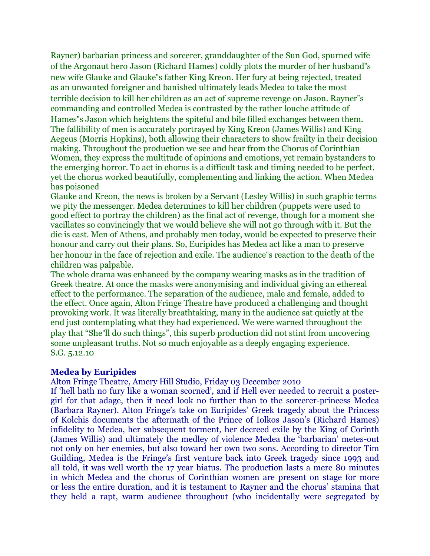Rayner) barbarian princess and sorcerer, granddaughter of the Sun God, spurned wife of the Argonaut hero Jason (Richard Hames) coldly plots the murder of her husband"s new wife Glauke and Glauke"s father King Kreon. Her fury at being rejected, treated as an unwanted foreigner and banished ultimately leads Medea to take the most terrible decision to kill her children as an act of supreme revenge on Jason. Rayner"s commanding and controlled Medea is contrasted by the rather louche attitude of Hames"s Jason which heightens the spiteful and bile filled exchanges between them. The fallibility of men is accurately portrayed by King Kreon (James Willis) and King Aegeus (Morris Hopkins), both allowing their characters to show frailty in their decision making. Throughout the production we see and hear from the Chorus of Corinthian Women, they express the multitude of opinions and emotions, yet remain bystanders to the emerging horror. To act in chorus is a difficult task and timing needed to be perfect, yet the chorus worked beautifully, complementing and linking the action. When Medea has poisoned

Glauke and Kreon, the news is broken by a Servant (Lesley Willis) in such graphic terms we pity the messenger. Medea determines to kill her children (puppets were used to good effect to portray the children) as the final act of revenge, though for a moment she vacillates so convincingly that we would believe she will not go through with it. But the die is cast. Men of Athens, and probably men today, would be expected to preserve their honour and carry out their plans. So, Euripides has Medea act like a man to preserve her honour in the face of rejection and exile. The audience"s reaction to the death of the children was palpable.

The whole drama was enhanced by the company wearing masks as in the tradition of Greek theatre. At once the masks were anonymising and individual giving an ethereal effect to the performance. The separation of the audience, male and female, added to the effect. Once again, Alton Fringe Theatre have produced a challenging and thought provoking work. It was literally breathtaking, many in the audience sat quietly at the end just contemplating what they had experienced. We were warned throughout the play that "She"ll do such things", this superb production did not stint from uncovering some unpleasant truths. Not so much enjoyable as a deeply engaging experience. S.G. 5.12.10

## **Medea by Euripides**

Alton Fringe Theatre, Amery Hill Studio, Friday 03 December 2010

If 'hell hath no fury like a woman scorned', and if Hell ever needed to recruit a postergirl for that adage, then it need look no further than to the sorcerer-princess Medea (Barbara Rayner). Alton Fringe's take on Euripides' Greek tragedy about the Princess of Kolchis documents the aftermath of the Prince of Iolkos Jason's (Richard Hames) infidelity to Medea, her subsequent torment, her decreed exile by the King of Corinth (James Willis) and ultimately the medley of violence Medea the 'barbarian' metes-out not only on her enemies, but also toward her own two sons. According to director Tim Guilding, Medea is the Fringe's first venture back into Greek tragedy since 1993 and all told, it was well worth the 17 year hiatus. The production lasts a mere 80 minutes in which Medea and the chorus of Corinthian women are present on stage for more or less the entire duration, and it is testament to Rayner and the chorus' stamina that they held a rapt, warm audience throughout (who incidentally were segregated by